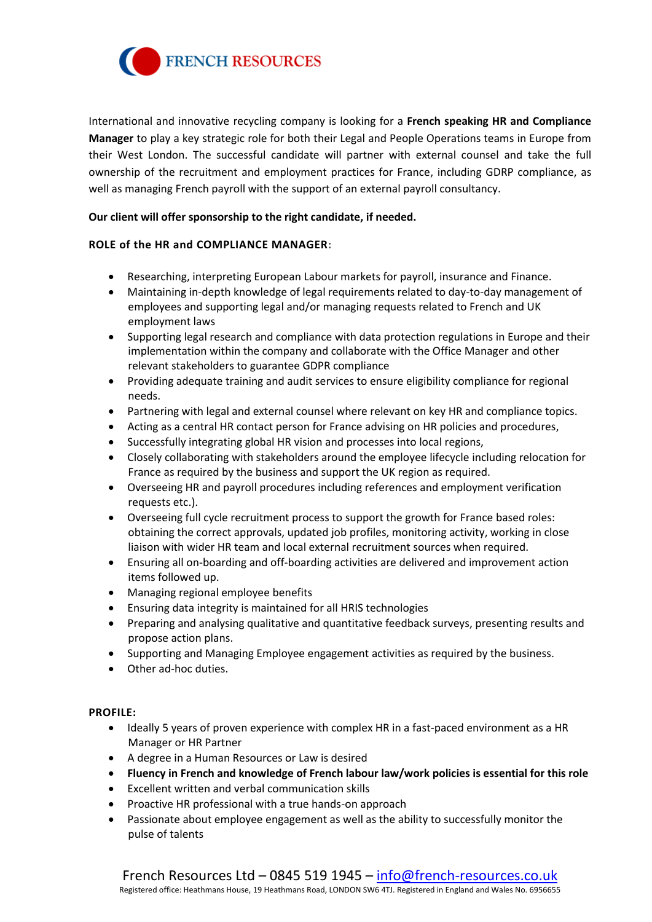

International and innovative recycling company is looking for a **French speaking HR and Compliance Manager** to play a key strategic role for both their Legal and People Operations teams in Europe from their West London. The successful candidate will partner with external counsel and take the full ownership of the recruitment and employment practices for France, including GDRP compliance, as well as managing French payroll with the support of an external payroll consultancy.

## **Our client will offer sponsorship to the right candidate, if needed.**

## **ROLE of the HR and COMPLIANCE MANAGER:**

- Researching, interpreting European Labour markets for payroll, insurance and Finance.
- Maintaining in-depth knowledge of legal requirements related to day-to-day management of employees and supporting legal and/or managing requests related to French and UK employment laws
- Supporting legal research and compliance with data protection regulations in Europe and their implementation within the company and collaborate with the Office Manager and other relevant stakeholders to guarantee GDPR compliance
- Providing adequate training and audit services to ensure eligibility compliance for regional needs.
- Partnering with legal and external counsel where relevant on key HR and compliance topics.
- Acting as a central HR contact person for France advising on HR policies and procedures,
- Successfully integrating global HR vision and processes into local regions,
- Closely collaborating with stakeholders around the employee lifecycle including relocation for France as required by the business and support the UK region as required.
- Overseeing HR and payroll procedures including references and employment verification requests etc.).
- Overseeing full cycle recruitment process to support the growth for France based roles: obtaining the correct approvals, updated job profiles, monitoring activity, working in close liaison with wider HR team and local external recruitment sources when required.
- Ensuring all on-boarding and off-boarding activities are delivered and improvement action items followed up.
- Managing regional employee benefits
- Ensuring data integrity is maintained for all HRIS technologies
- Preparing and analysing qualitative and quantitative feedback surveys, presenting results and propose action plans.
- Supporting and Managing Employee engagement activities as required by the business.
- Other ad-hoc duties.

## **PROFILE:**

- Ideally 5 years of proven experience with complex HR in a fast-paced environment as a HR Manager or HR Partner
- A degree in a Human Resources or Law is desired
- **Fluency in French and knowledge of French labour law/work policies is essential for this role**
- Excellent written and verbal communication skills
- Proactive HR professional with a true hands-on approach
- Passionate about employee engagement as well as the ability to successfully monitor the pulse of talents